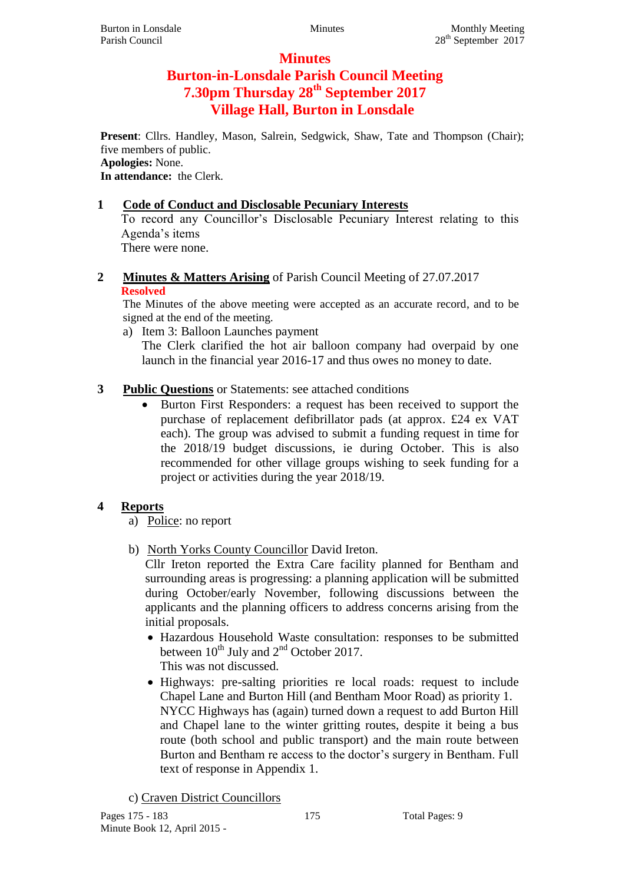# **Minutes Burton-in-Lonsdale Parish Council Meeting 7.30pm Thursday 28th September 2017 Village Hall, Burton in Lonsdale**

**Present**: Cllrs. Handley, Mason, Salrein, Sedgwick, Shaw, Tate and Thompson (Chair); five members of public.

## **Apologies:** None.

**In attendance:** the Clerk.

## **1 Code of Conduct and Disclosable Pecuniary Interests**

To record any Councillor's Disclosable Pecuniary Interest relating to this Agenda's items There were none.

**2 Minutes & Matters Arising** of Parish Council Meeting of 27.07.2017 **Resolved**

The Minutes of the above meeting were accepted as an accurate record, and to be signed at the end of the meeting.

a) Item 3: Balloon Launches payment

The Clerk clarified the hot air balloon company had overpaid by one launch in the financial year 2016-17 and thus owes no money to date.

## **3 Public Questions** or Statements: see attached conditions

• Burton First Responders: a request has been received to support the purchase of replacement defibrillator pads (at approx. £24 ex VAT each). The group was advised to submit a funding request in time for the 2018/19 budget discussions, ie during October. This is also recommended for other village groups wishing to seek funding for a project or activities during the year 2018/19.

## **4 Reports**

a) Police: no report

b) North Yorks County Councillor David Ireton.

Cllr Ireton reported the Extra Care facility planned for Bentham and surrounding areas is progressing: a planning application will be submitted during October/early November, following discussions between the applicants and the planning officers to address concerns arising from the initial proposals.

- Hazardous Household Waste consultation: responses to be submitted between  $10^{th}$  July and  $2^{nd}$  October 2017. This was not discussed.
- Highways: pre-salting priorities re local roads: request to include Chapel Lane and Burton Hill (and Bentham Moor Road) as priority 1. NYCC Highways has (again) turned down a request to add Burton Hill and Chapel lane to the winter gritting routes, despite it being a bus route (both school and public transport) and the main route between Burton and Bentham re access to the doctor's surgery in Bentham. Full text of response in Appendix 1.

c) Craven District Councillors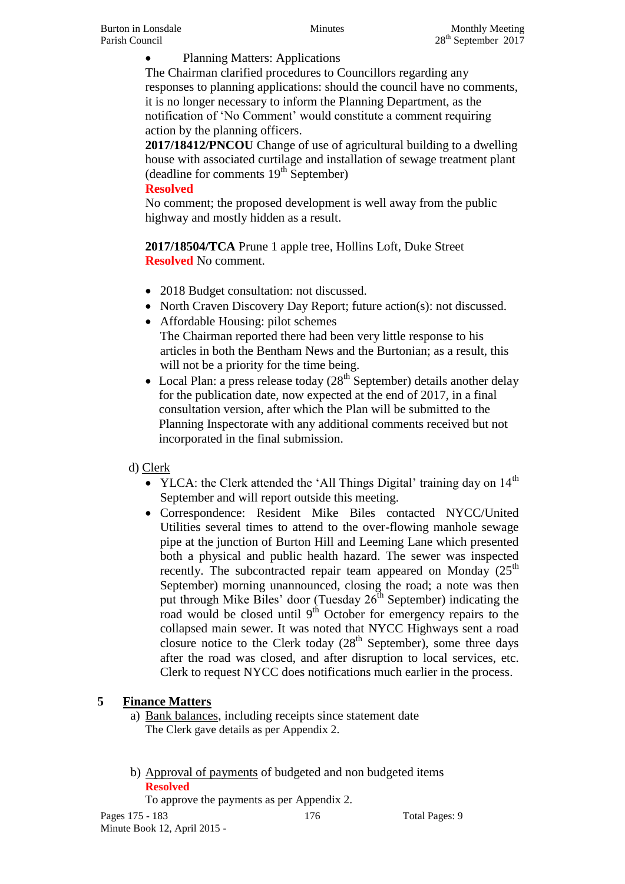Planning Matters: Applications

The Chairman clarified procedures to Councillors regarding any responses to planning applications: should the council have no comments, it is no longer necessary to inform the Planning Department, as the notification of 'No Comment' would constitute a comment requiring action by the planning officers.

**2017/18412/PNCOU** Change of use of agricultural building to a dwelling house with associated curtilage and installation of sewage treatment plant (deadline for comments  $19<sup>th</sup>$  September)

#### **Resolved**

No comment; the proposed development is well away from the public highway and mostly hidden as a result.

**2017/18504/TCA** Prune 1 apple tree, Hollins Loft, Duke Street **Resolved** No comment.

- 2018 Budget consultation: not discussed.
- North Craven Discovery Day Report: future action(s): not discussed.
- Affordable Housing: pilot schemes The Chairman reported there had been very little response to his articles in both the Bentham News and the Burtonian; as a result, this will not be a priority for the time being.
- Local Plan: a press release today  $(28<sup>th</sup>$  September) details another delay for the publication date, now expected at the end of 2017, in a final consultation version, after which the Plan will be submitted to the Planning Inspectorate with any additional comments received but not incorporated in the final submission.

## d) Clerk

- YLCA: the Clerk attended the 'All Things Digital' training day on  $14<sup>th</sup>$ September and will report outside this meeting.
- Correspondence: Resident Mike Biles contacted NYCC/United Utilities several times to attend to the over-flowing manhole sewage pipe at the junction of Burton Hill and Leeming Lane which presented both a physical and public health hazard. The sewer was inspected recently. The subcontracted repair team appeared on Monday  $(25<sup>th</sup>$ September) morning unannounced, closing the road; a note was then put through Mike Biles' door (Tuesday  $26<sup>th</sup>$  September) indicating the road would be closed until  $9<sup>th</sup>$  October for emergency repairs to the collapsed main sewer. It was noted that NYCC Highways sent a road closure notice to the Clerk today  $(28<sup>th</sup>$  September), some three days after the road was closed, and after disruption to local services, etc. Clerk to request NYCC does notifications much earlier in the process.

# **5 Finance Matters**

- a) Bank balances, including receipts since statement date The Clerk gave details as per Appendix 2.
- b) Approval of payments of budgeted and non budgeted items **Resolved**

To approve the payments as per Appendix 2.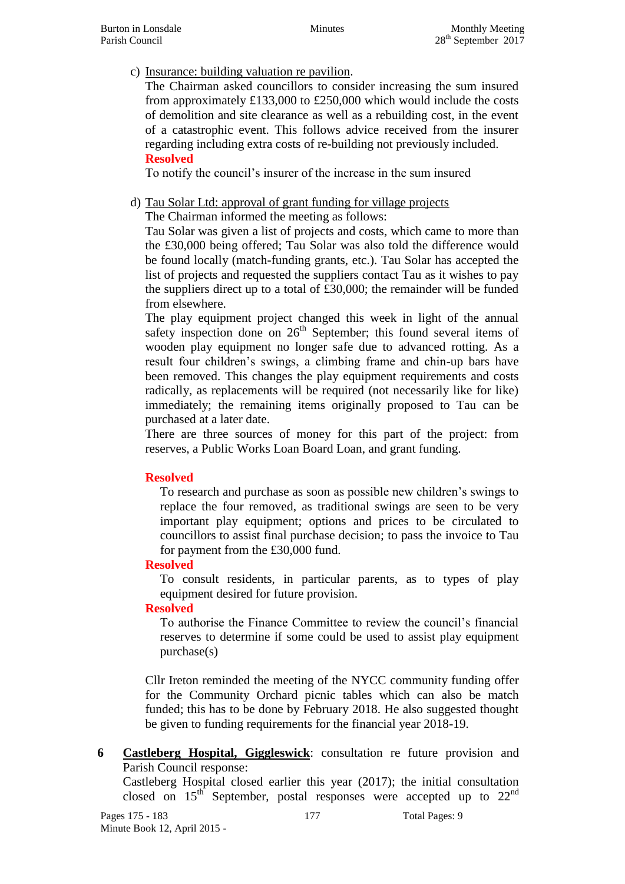c) Insurance: building valuation re pavilion.

The Chairman asked councillors to consider increasing the sum insured from approximately £133,000 to £250,000 which would include the costs of demolition and site clearance as well as a rebuilding cost, in the event of a catastrophic event. This follows advice received from the insurer regarding including extra costs of re-building not previously included. **Resolved**

To notify the council's insurer of the increase in the sum insured

d) Tau Solar Ltd: approval of grant funding for village projects

The Chairman informed the meeting as follows:

Tau Solar was given a list of projects and costs, which came to more than the £30,000 being offered; Tau Solar was also told the difference would be found locally (match-funding grants, etc.). Tau Solar has accepted the list of projects and requested the suppliers contact Tau as it wishes to pay the suppliers direct up to a total of £30,000; the remainder will be funded from elsewhere.

The play equipment project changed this week in light of the annual safety inspection done on  $26<sup>th</sup>$  September; this found several items of wooden play equipment no longer safe due to advanced rotting. As a result four children's swings, a climbing frame and chin-up bars have been removed. This changes the play equipment requirements and costs radically, as replacements will be required (not necessarily like for like) immediately; the remaining items originally proposed to Tau can be purchased at a later date.

There are three sources of money for this part of the project: from reserves, a Public Works Loan Board Loan, and grant funding.

## **Resolved**

To research and purchase as soon as possible new children's swings to replace the four removed, as traditional swings are seen to be very important play equipment; options and prices to be circulated to councillors to assist final purchase decision; to pass the invoice to Tau for payment from the £30,000 fund.

## **Resolved**

To consult residents, in particular parents, as to types of play equipment desired for future provision.

## **Resolved**

To authorise the Finance Committee to review the council's financial reserves to determine if some could be used to assist play equipment purchase(s)

Cllr Ireton reminded the meeting of the NYCC community funding offer for the Community Orchard picnic tables which can also be match funded; this has to be done by February 2018. He also suggested thought be given to funding requirements for the financial year 2018-19.

**6 Castleberg Hospital, Giggleswick**: consultation re future provision and Parish Council response:

Castleberg Hospital closed earlier this year (2017); the initial consultation closed on  $15<sup>th</sup>$  September, postal responses were accepted up to  $22<sup>nd</sup>$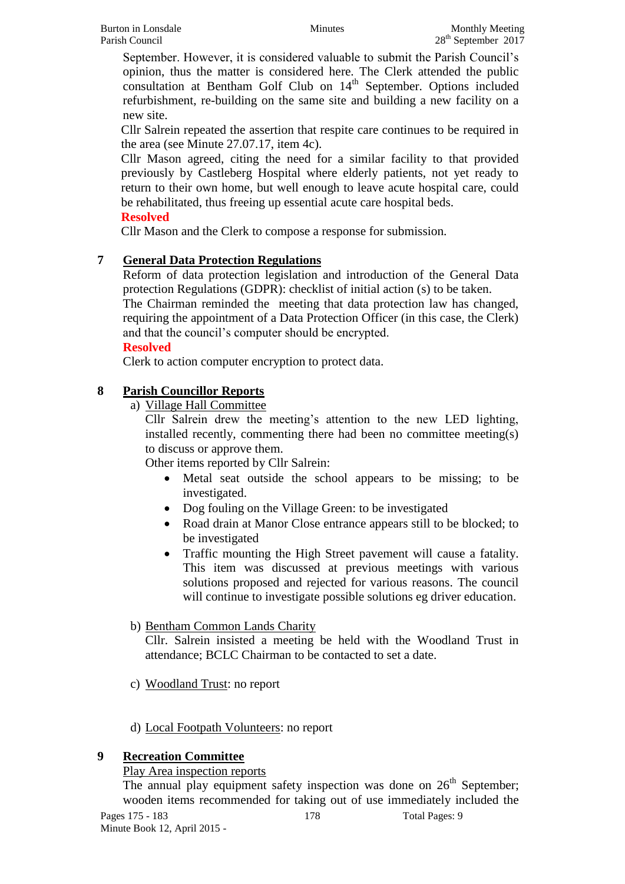September. However, it is considered valuable to submit the Parish Council's opinion, thus the matter is considered here. The Clerk attended the public consultation at Bentham Golf Club on 14<sup>th</sup> September. Options included refurbishment, re-building on the same site and building a new facility on a new site.

Cllr Salrein repeated the assertion that respite care continues to be required in the area (see Minute 27.07.17, item 4c).

Cllr Mason agreed, citing the need for a similar facility to that provided previously by Castleberg Hospital where elderly patients, not yet ready to return to their own home, but well enough to leave acute hospital care, could be rehabilitated, thus freeing up essential acute care hospital beds.

## **Resolved**

Cllr Mason and the Clerk to compose a response for submission.

## **7 General Data Protection Regulations**

Reform of data protection legislation and introduction of the General Data protection Regulations (GDPR): checklist of initial action (s) to be taken.

The Chairman reminded the meeting that data protection law has changed, requiring the appointment of a Data Protection Officer (in this case, the Clerk) and that the council's computer should be encrypted.

#### **Resolved**

Clerk to action computer encryption to protect data.

## **8 Parish Councillor Reports**

a) Village Hall Committee

Cllr Salrein drew the meeting's attention to the new LED lighting, installed recently, commenting there had been no committee meeting(s) to discuss or approve them.

Other items reported by Cllr Salrein:

- Metal seat outside the school appears to be missing; to be investigated.
- Dog fouling on the Village Green: to be investigated
- Road drain at Manor Close entrance appears still to be blocked; to be investigated
- Traffic mounting the High Street pavement will cause a fatality. This item was discussed at previous meetings with various solutions proposed and rejected for various reasons. The council will continue to investigate possible solutions eg driver education.

### b) Bentham Common Lands Charity

Cllr. Salrein insisted a meeting be held with the Woodland Trust in attendance; BCLC Chairman to be contacted to set a date.

- c) Woodland Trust: no report
- d) Local Footpath Volunteers: no report

### **9 Recreation Committee**

### Play Area inspection reports

The annual play equipment safety inspection was done on  $26<sup>th</sup>$  September; wooden items recommended for taking out of use immediately included the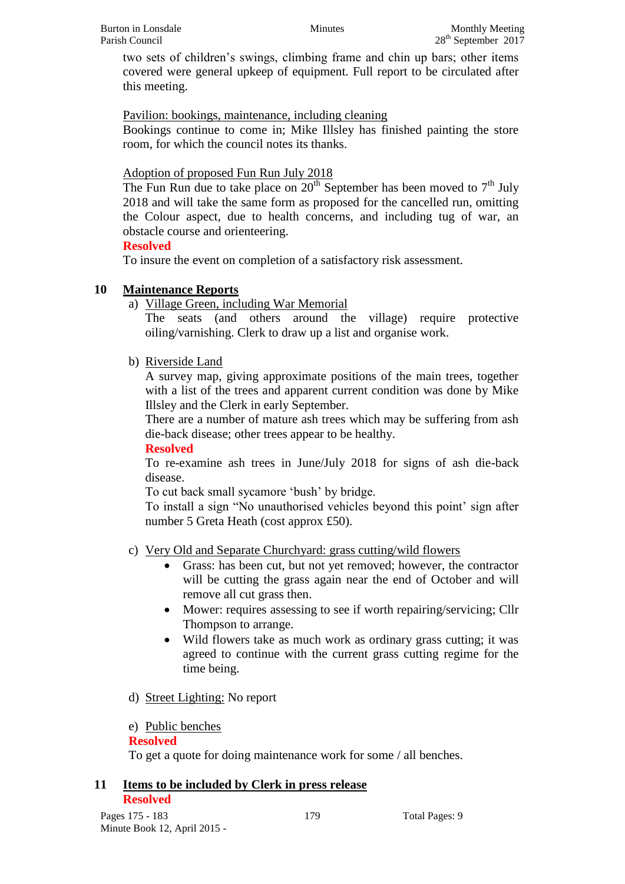two sets of children's swings, climbing frame and chin up bars; other items covered were general upkeep of equipment. Full report to be circulated after this meeting.

Pavilion: bookings, maintenance, including cleaning

Bookings continue to come in; Mike Illsley has finished painting the store room, for which the council notes its thanks.

Adoption of proposed Fun Run July 2018

The Fun Run due to take place on  $20<sup>th</sup>$  September has been moved to  $7<sup>th</sup>$  July 2018 and will take the same form as proposed for the cancelled run, omitting the Colour aspect, due to health concerns, and including tug of war, an obstacle course and orienteering.

### **Resolved**

To insure the event on completion of a satisfactory risk assessment.

## **10 Maintenance Reports**

a) Village Green, including War Memorial

The seats (and others around the village) require protective oiling/varnishing. Clerk to draw up a list and organise work.

b) Riverside Land

A survey map, giving approximate positions of the main trees, together with a list of the trees and apparent current condition was done by Mike Illsley and the Clerk in early September.

There are a number of mature ash trees which may be suffering from ash die-back disease; other trees appear to be healthy.

### **Resolved**

To re-examine ash trees in June/July 2018 for signs of ash die-back disease.

To cut back small sycamore 'bush' by bridge.

To install a sign "No unauthorised vehicles beyond this point' sign after number 5 Greta Heath (cost approx £50).

- c) Very Old and Separate Churchyard: grass cutting/wild flowers
	- Grass: has been cut, but not yet removed; however, the contractor will be cutting the grass again near the end of October and will remove all cut grass then.
	- Mower: requires assessing to see if worth repairing/servicing; Cllr Thompson to arrange.
	- Wild flowers take as much work as ordinary grass cutting; it was agreed to continue with the current grass cutting regime for the time being.
- d) Street Lighting: No report
- e) Public benches

### **Resolved**

To get a quote for doing maintenance work for some / all benches.

#### **11 Items to be included by Clerk in press release Resolved**

Pages 175 - 183 179 179 Total Pages: 9 Minute Book 12, April 2015 -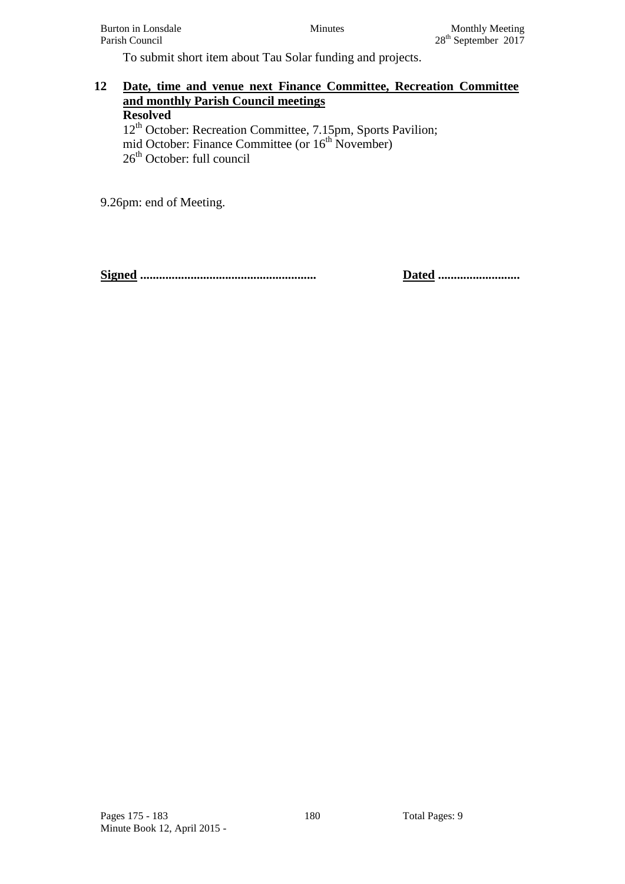To submit short item about Tau Solar funding and projects.

#### **12 Date, time and venue next Finance Committee, Recreation Committee and monthly Parish Council meetings Resolved**  12<sup>th</sup> October: Recreation Committee, 7.15pm, Sports Pavilion; mid October: Finance Committee (or 16<sup>th</sup> November)

26<sup>th</sup> October: full council

9.26pm: end of Meeting.

**Signed ........................................................ Dated ..........................**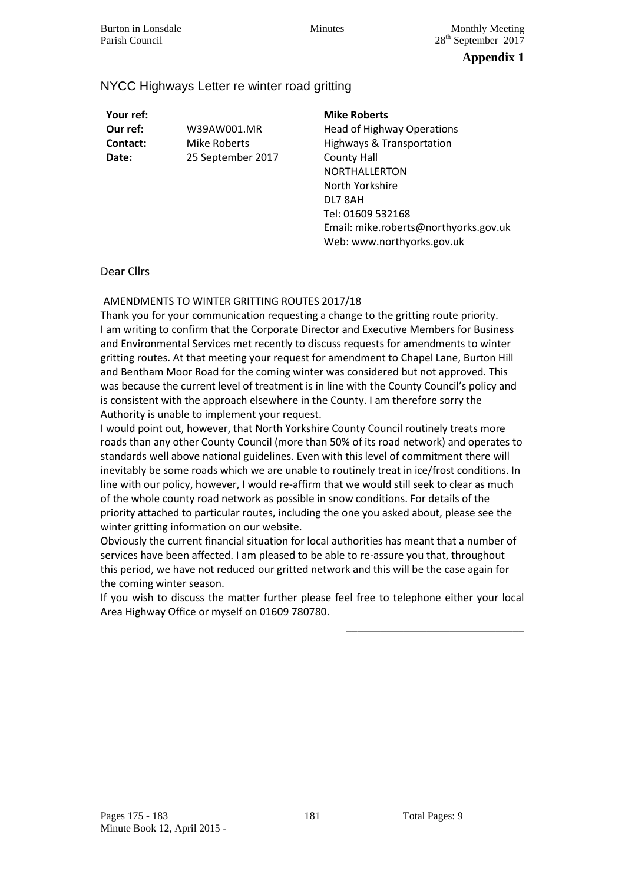### **Appendix 1**

#### NYCC Highways Letter re winter road gritting

**Your ref:** 

**Our ref:** W39AW001.MR **Contact:** Mike Roberts **Date:** 25 September 2017

#### **Mike Roberts**

Head of Highway Operations Highways & Transportation County Hall NORTHALLERTON North Yorkshire DL7 8AH Tel: 01609 532168 Email: mike.roberts@northyorks.gov.uk Web: www.northyorks.gov.uk

#### Dear Cllrs

#### AMENDMENTS TO WINTER GRITTING ROUTES 2017/18

Thank you for your communication requesting a change to the gritting route priority. I am writing to confirm that the Corporate Director and Executive Members for Business and Environmental Services met recently to discuss requests for amendments to winter gritting routes. At that meeting your request for amendment to Chapel Lane, Burton Hill and Bentham Moor Road for the coming winter was considered but not approved. This was because the current level of treatment is in line with the County Council's policy and is consistent with the approach elsewhere in the County. I am therefore sorry the Authority is unable to implement your request.

I would point out, however, that North Yorkshire County Council routinely treats more roads than any other County Council (more than 50% of its road network) and operates to standards well above national guidelines. Even with this level of commitment there will inevitably be some roads which we are unable to routinely treat in ice/frost conditions. In line with our policy, however, I would re-affirm that we would still seek to clear as much of the whole county road network as possible in snow conditions. For details of the priority attached to particular routes, including the one you asked about, please see the winter gritting information on our website.

Obviously the current financial situation for local authorities has meant that a number of services have been affected. I am pleased to be able to re-assure you that, throughout this period, we have not reduced our gritted network and this will be the case again for the coming winter season.

If you wish to discuss the matter further please feel free to telephone either your local Area Highway Office or myself on 01609 780780.

\_\_\_\_\_\_\_\_\_\_\_\_\_\_\_\_\_\_\_\_\_\_\_\_\_\_\_\_\_\_\_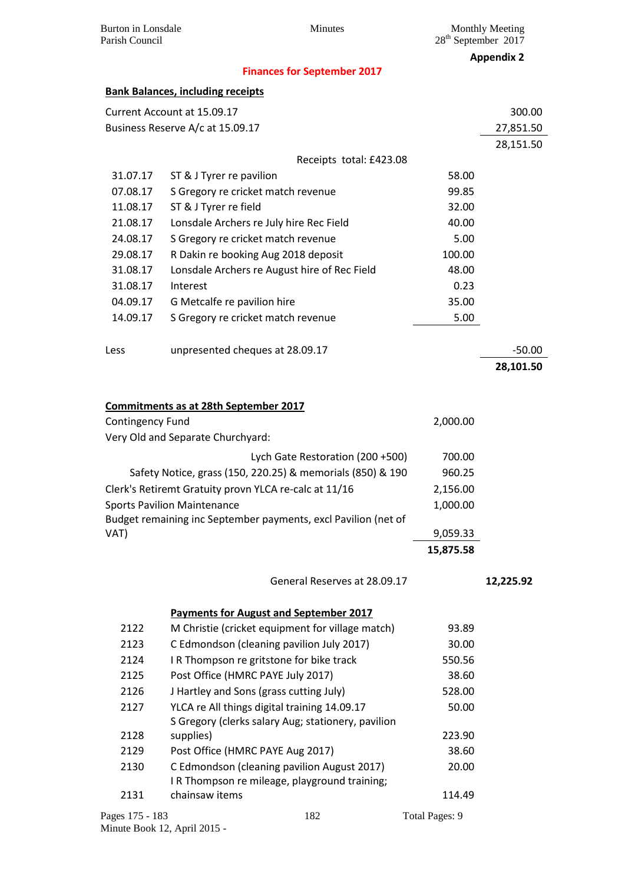**Appendix 2**

#### **Finances for September 2017**

| <b>Bank Balances, including receipts</b> |  |  |
|------------------------------------------|--|--|
|------------------------------------------|--|--|

|                  | <b>Bank Balances, including receipts</b>                       |           |                       |
|------------------|----------------------------------------------------------------|-----------|-----------------------|
|                  | Current Account at 15.09.17                                    |           | 300.00                |
|                  | Business Reserve A/c at 15.09.17                               |           | 27,851.50             |
|                  |                                                                |           | 28,151.50             |
|                  | Receipts total: £423.08                                        |           |                       |
| 31.07.17         | ST & J Tyrer re pavilion                                       | 58.00     |                       |
| 07.08.17         | S Gregory re cricket match revenue                             | 99.85     |                       |
| 11.08.17         | ST & J Tyrer re field                                          | 32.00     |                       |
| 21.08.17         | Lonsdale Archers re July hire Rec Field                        | 40.00     |                       |
| 24.08.17         | S Gregory re cricket match revenue                             | 5.00      |                       |
| 29.08.17         | R Dakin re booking Aug 2018 deposit                            | 100.00    |                       |
| 31.08.17         | Lonsdale Archers re August hire of Rec Field                   | 48.00     |                       |
| 31.08.17         | Interest                                                       | 0.23      |                       |
| 04.09.17         | G Metcalfe re pavilion hire                                    | 35.00     |                       |
| 14.09.17         | S Gregory re cricket match revenue                             | 5.00      |                       |
|                  |                                                                |           |                       |
| Less             | unpresented cheques at 28.09.17                                |           | $-50.00$<br>28,101.50 |
|                  |                                                                |           |                       |
|                  |                                                                |           |                       |
|                  | Commitments as at 28th September 2017                          |           |                       |
| Contingency Fund |                                                                | 2,000.00  |                       |
|                  | Very Old and Separate Churchyard:                              |           |                       |
|                  | Lych Gate Restoration (200 +500)                               | 700.00    |                       |
|                  | Safety Notice, grass (150, 220.25) & memorials (850) & 190     | 960.25    |                       |
|                  | Clerk's Retiremt Gratuity provn YLCA re-calc at 11/16          | 2,156.00  |                       |
|                  | <b>Sports Pavilion Maintenance</b>                             | 1,000.00  |                       |
|                  | Budget remaining inc September payments, excl Pavilion (net of |           |                       |
| VAT)             |                                                                | 9,059.33  |                       |
|                  |                                                                | 15,875.58 |                       |
|                  | General Reserves at 28.09.17                                   |           | 12.225.92             |
|                  | <b>Payments for August and September 2017</b>                  |           |                       |
| 2122             | M Christie (cricket equipment for village match)               | 93.89     |                       |
| 2123             | C Edmondson (cleaning pavilion July 2017)                      | 30.00     |                       |
| 2124             | I R Thompson re gritstone for bike track                       | 550.56    |                       |
| 2125             | Post Office (HMRC PAYE July 2017)                              | 38.60     |                       |
| 2126             | J Hartley and Sons (grass cutting July)                        | 528.00    |                       |
| 2127             | YLCA re All things digital training 14.09.17                   | 50.00     |                       |
|                  | S Gregory (clerks salary Aug; stationery, pavilion             |           |                       |

| 2128            | supplies)                                                                                    | 223.90         |
|-----------------|----------------------------------------------------------------------------------------------|----------------|
| 2129            | Post Office (HMRC PAYE Aug 2017)                                                             | 38.60          |
| 2130            | C Edmondson (cleaning pavilion August 2017)<br>I R Thompson re mileage, playground training; | 20.00          |
| 2131            | chainsaw items                                                                               | 114.49         |
| Pages 175 - 183 | 182                                                                                          | Total Pages: 9 |